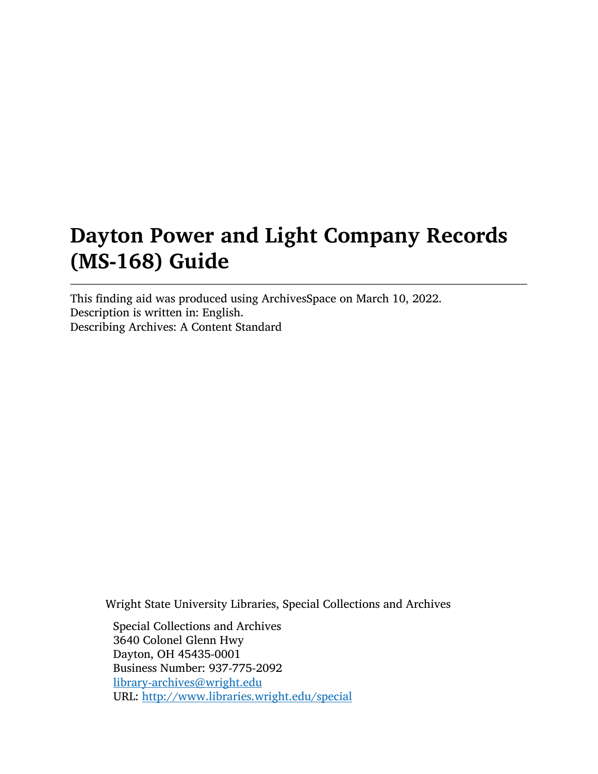# Dayton Power and Light Company Records (MS-168) Guide

This finding aid was produced using ArchivesSpace on March 10, 2022. Description is written in: English. Describing Archives: A Content Standard

Wright State University Libraries, Special Collections and Archives

Special Collections and Archives 3640 Colonel Glenn Hwy Dayton, OH 45435-0001 Business Number: 937-775-2092 [library-archives@wright.edu](mailto:library-archives@wright.edu) URL: <http://www.libraries.wright.edu/special>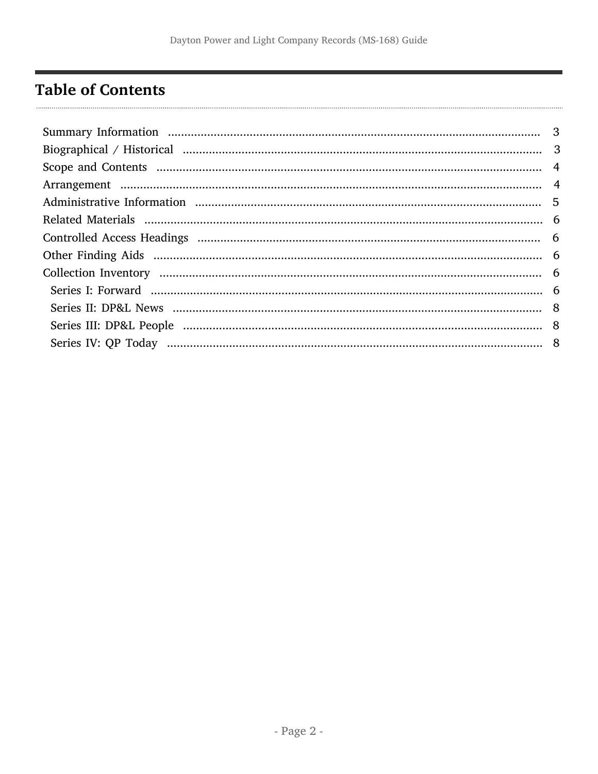# <span id="page-1-0"></span>**Table of Contents**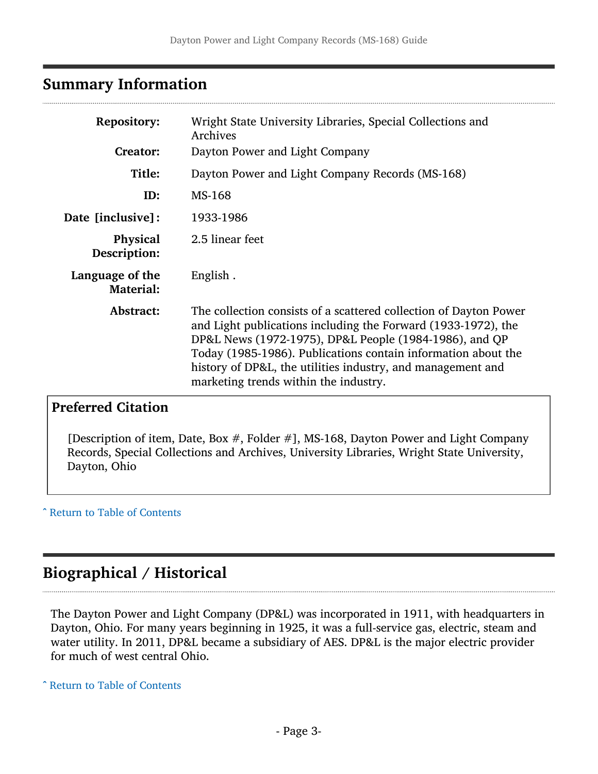### <span id="page-2-0"></span>Summary Information

| <b>Repository:</b><br><b>Creator:</b> | Wright State University Libraries, Special Collections and<br>Archives<br>Dayton Power and Light Company                                                                                                                                                                                                                                                              |
|---------------------------------------|-----------------------------------------------------------------------------------------------------------------------------------------------------------------------------------------------------------------------------------------------------------------------------------------------------------------------------------------------------------------------|
| Title:                                | Dayton Power and Light Company Records (MS-168)                                                                                                                                                                                                                                                                                                                       |
| ID:                                   | MS-168                                                                                                                                                                                                                                                                                                                                                                |
| <b>Date [inclusive]:</b>              | 1933-1986                                                                                                                                                                                                                                                                                                                                                             |
| Physical<br>Description:              | 2.5 linear feet                                                                                                                                                                                                                                                                                                                                                       |
| Language of the<br><b>Material:</b>   | English.                                                                                                                                                                                                                                                                                                                                                              |
| Abstract:                             | The collection consists of a scattered collection of Dayton Power<br>and Light publications including the Forward (1933-1972), the<br>DP&L News (1972-1975), DP&L People (1984-1986), and QP<br>Today (1985-1986). Publications contain information about the<br>history of DP&L, the utilities industry, and management and<br>marketing trends within the industry. |

### Preferred Citation

[Description of item, Date, Box #, Folder #], MS-168, Dayton Power and Light Company Records, Special Collections and Archives, University Libraries, Wright State University, Dayton, Ohio

^ [Return to Table of Contents](#page-1-0)

# <span id="page-2-1"></span>Biographical / Historical

The Dayton Power and Light Company (DP&L) was incorporated in 1911, with headquarters in Dayton, Ohio. For many years beginning in 1925, it was a full-service gas, electric, steam and water utility. In 2011, DP&L became a subsidiary of AES. DP&L is the major electric provider for much of west central Ohio.

^ [Return to Table of Contents](#page-1-0)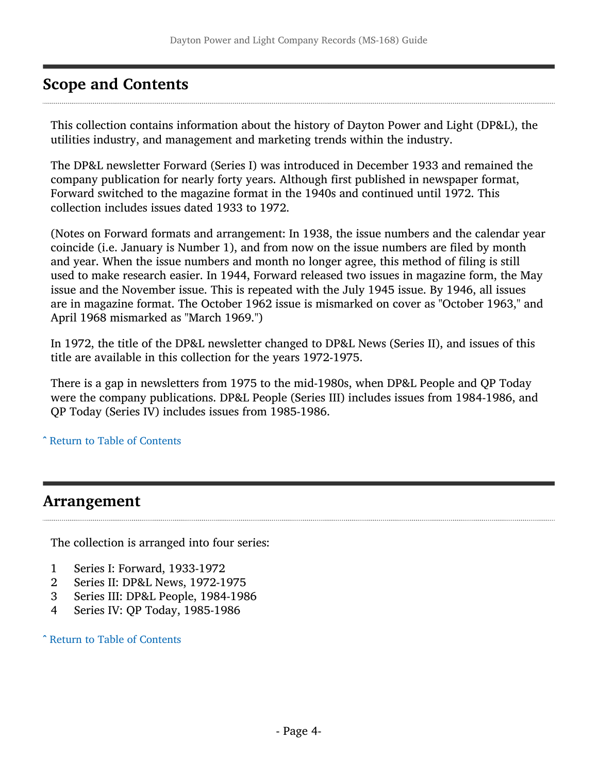# <span id="page-3-0"></span>Scope and Contents

This collection contains information about the history of Dayton Power and Light (DP&L), the utilities industry, and management and marketing trends within the industry.

The DP&L newsletter Forward (Series I) was introduced in December 1933 and remained the company publication for nearly forty years. Although first published in newspaper format, Forward switched to the magazine format in the 1940s and continued until 1972. This collection includes issues dated 1933 to 1972.

(Notes on Forward formats and arrangement: In 1938, the issue numbers and the calendar year coincide (i.e. January is Number 1), and from now on the issue numbers are filed by month and year. When the issue numbers and month no longer agree, this method of filing is still used to make research easier. In 1944, Forward released two issues in magazine form, the May issue and the November issue. This is repeated with the July 1945 issue. By 1946, all issues are in magazine format. The October 1962 issue is mismarked on cover as "October 1963," and April 1968 mismarked as "March 1969.")

In 1972, the title of the DP&L newsletter changed to DP&L News (Series II), and issues of this title are available in this collection for the years 1972-1975.

There is a gap in newsletters from 1975 to the mid-1980s, when DP&L People and QP Today were the company publications. DP&L People (Series III) includes issues from 1984-1986, and QP Today (Series IV) includes issues from 1985-1986.

^ [Return to Table of Contents](#page-1-0)

### <span id="page-3-1"></span>Arrangement

The collection is arranged into four series:

- 1 Series I: Forward, 1933-1972<br>2 Series II: DP&L News, 1972-1
- 2 Series II: DP&L News, 1972-1975<br>3 Series III: DP&L People, 1984-198
- 3 Series III: DP&L People, 1984-1986<br>4 Series IV: OP Today, 1985-1986
- Series IV: QP Today, 1985-1986

^ [Return to Table of Contents](#page-1-0)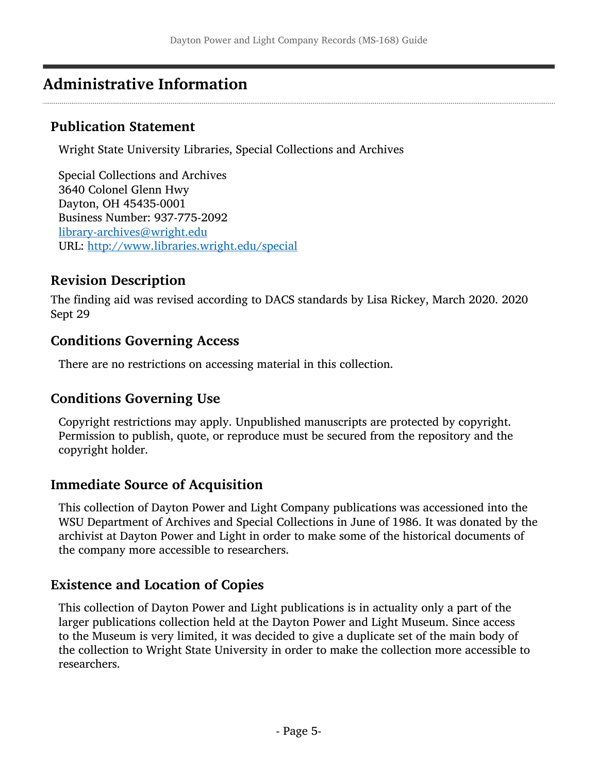# <span id="page-4-0"></span>Administrative Information

#### Publication Statement

Wright State University Libraries, Special Collections and Archives

Special Collections and Archives 3640 Colonel Glenn Hwy Dayton, OH 45435-0001 Business Number: 937-775-2092 [library-archives@wright.edu](mailto:library-archives@wright.edu) URL: <http://www.libraries.wright.edu/special>

#### Revision Description

The finding aid was revised according to DACS standards by Lisa Rickey, March 2020. 2020 Sept 29

#### Conditions Governing Access

There are no restrictions on accessing material in this collection.

#### Conditions Governing Use

Copyright restrictions may apply. Unpublished manuscripts are protected by copyright. Permission to publish, quote, or reproduce must be secured from the repository and the copyright holder.

#### Immediate Source of Acquisition

This collection of Dayton Power and Light Company publications was accessioned into the WSU Department of Archives and Special Collections in June of 1986. It was donated by the archivist at Dayton Power and Light in order to make some of the historical documents of the company more accessible to researchers.

#### Existence and Location of Copies

This collection of Dayton Power and Light publications is in actuality only a part of the larger publications collection held at the Dayton Power and Light Museum. Since access to the Museum is very limited, it was decided to give a duplicate set of the main body of the collection to Wright State University in order to make the collection more accessible to researchers.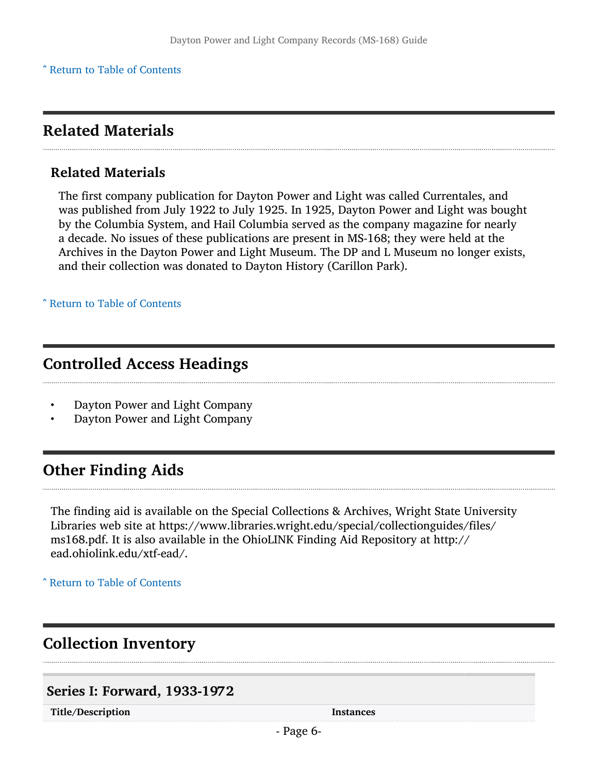### <span id="page-5-0"></span>Related Materials

#### Related Materials

The first company publication for Dayton Power and Light was called Currentales, and was published from July 1922 to July 1925. In 1925, Dayton Power and Light was bought by the Columbia System, and Hail Columbia served as the company magazine for nearly a decade. No issues of these publications are present in MS-168; they were held at the Archives in the Dayton Power and Light Museum. The DP and L Museum no longer exists, and their collection was donated to Dayton History (Carillon Park).

^ [Return to Table of Contents](#page-1-0)

### <span id="page-5-1"></span>Controlled Access Headings

- Dayton Power and Light Company<br>• Dayton Power and Light Company
- Dayton Power and Light Company

## <span id="page-5-2"></span>Other Finding Aids

The finding aid is available on the Special Collections & Archives, Wright State University Libraries web site at <https://www.libraries.wright.edu/special/collectionguides/files>/ ms168.pdf. It is also available in the OhioLINK Finding Aid Repository at http:// [ead.ohiolink.edu/xtf-ead](https://ead.ohiolink.edu/xtf-ead)/.

^ [Return to Table of Contents](#page-1-0)

# <span id="page-5-3"></span>Collection Inventory

#### <span id="page-5-4"></span>Series I: Forward, 1933-1972

Title/Description and the set of the set of the set of the set of the set of the set of the set of the set of the set of the set of the set of the set of the set of the set of the set of the set of the set of the set of th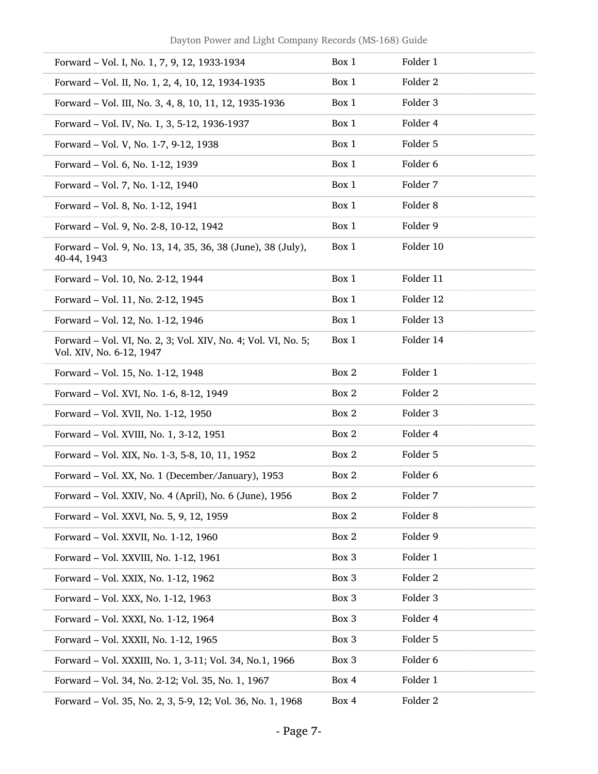| Forward – Vol. I, No. 1, 7, 9, 12, 1933-1934                                              | Box 1 | Folder 1            |
|-------------------------------------------------------------------------------------------|-------|---------------------|
| Forward – Vol. II, No. 1, 2, 4, 10, 12, 1934-1935                                         | Box 1 | Folder <sub>2</sub> |
| Forward - Vol. III, No. 3, 4, 8, 10, 11, 12, 1935-1936                                    | Box 1 | Folder 3            |
| Forward - Vol. IV, No. 1, 3, 5-12, 1936-1937                                              | Box 1 | Folder 4            |
| Forward - Vol. V, No. 1-7, 9-12, 1938                                                     | Box 1 | Folder 5            |
| Forward - Vol. 6, No. 1-12, 1939                                                          | Box 1 | Folder 6            |
| Forward - Vol. 7, No. 1-12, 1940                                                          | Box 1 | Folder 7            |
| Forward - Vol. 8, No. 1-12, 1941                                                          | Box 1 | Folder <sub>8</sub> |
| Forward - Vol. 9, No. 2-8, 10-12, 1942                                                    | Box 1 | Folder 9            |
| Forward - Vol. 9, No. 13, 14, 35, 36, 38 (June), 38 (July),<br>40-44, 1943                | Box 1 | Folder 10           |
| Forward - Vol. 10, No. 2-12, 1944                                                         | Box 1 | Folder 11           |
| Forward - Vol. 11, No. 2-12, 1945                                                         | Box 1 | Folder 12           |
| Forward - Vol. 12, No. 1-12, 1946                                                         | Box 1 | Folder 13           |
| Forward - Vol. VI, No. 2, 3; Vol. XIV, No. 4; Vol. VI, No. 5;<br>Vol. XIV, No. 6-12, 1947 | Box 1 | Folder 14           |
| Forward - Vol. 15, No. 1-12, 1948                                                         | Box 2 | Folder 1            |
| Forward - Vol. XVI, No. 1-6, 8-12, 1949                                                   | Box 2 | Folder 2            |
| Forward - Vol. XVII, No. 1-12, 1950                                                       | Box 2 | Folder 3            |
| Forward - Vol. XVIII, No. 1, 3-12, 1951                                                   | Box 2 | Folder 4            |
| Forward - Vol. XIX, No. 1-3, 5-8, 10, 11, 1952                                            | Box 2 | Folder 5            |
| Forward - Vol. XX, No. 1 (December/January), 1953                                         | Box 2 | Folder 6            |
| Forward - Vol. XXIV, No. 4 (April), No. 6 (June), 1956                                    | Box 2 | Folder 7            |
| Forward - Vol. XXVI, No. 5, 9, 12, 1959                                                   | Box 2 | Folder 8            |
| Forward - Vol. XXVII, No. 1-12, 1960                                                      | Box 2 | Folder 9            |
| Forward - Vol. XXVIII, No. 1-12, 1961                                                     | Box 3 | Folder 1            |
| Forward - Vol. XXIX, No. 1-12, 1962                                                       | Box 3 | Folder 2            |
| Forward - Vol. XXX, No. 1-12, 1963                                                        | Box 3 | Folder 3            |
| Forward - Vol. XXXI, No. 1-12, 1964                                                       | Box 3 | Folder 4            |
| Forward - Vol. XXXII, No. 1-12, 1965                                                      | Box 3 | Folder 5            |
| Forward - Vol. XXXIII, No. 1, 3-11; Vol. 34, No.1, 1966                                   | Box 3 | Folder 6            |
| Forward - Vol. 34, No. 2-12; Vol. 35, No. 1, 1967                                         | Box 4 | Folder 1            |
| Forward - Vol. 35, No. 2, 3, 5-9, 12; Vol. 36, No. 1, 1968                                | Box 4 | Folder 2            |